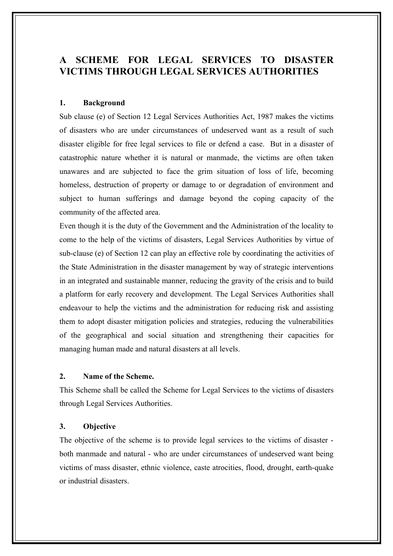# **A SCHEME FOR LEGAL SERVICES TO DISASTER VICTIMS THROUGH LEGAL SERVICES AUTHORITIES**

#### **1. Background**

Sub clause (e) of Section 12 Legal Services Authorities Act, 1987 makes the victims of disasters who are under circumstances of undeserved want as a result of such disaster eligible for free legal services to file or defend a case. But in a disaster of catastrophic nature whether it is natural or manmade, the victims are often taken unawares and are subjected to face the grim situation of loss of life, becoming homeless, destruction of property or damage to or degradation of environment and subject to human sufferings and damage beyond the coping capacity of the community of the affected area.

Even though it is the duty of the Government and the Administration of the locality to come to the help of the victims of disasters, Legal Services Authorities by virtue of sub-clause (e) of Section 12 can play an effective role by coordinating the activities of the State Administration in the disaster management by way of strategic interventions in an integrated and sustainable manner, reducing the gravity of the crisis and to build a platform for early recovery and development. The Legal Services Authorities shall endeavour to help the victims and the administration for reducing risk and assisting them to adopt disaster mitigation policies and strategies, reducing the vulnerabilities of the geographical and social situation and strengthening their capacities for managing human made and natural disasters at all levels.

#### **2. Name of the Scheme.**

This Scheme shall be called the Scheme for Legal Services to the victims of disasters through Legal Services Authorities.

#### **3. Objective**

The objective of the scheme is to provide legal services to the victims of disaster both manmade and natural - who are under circumstances of undeserved want being victims of mass disaster, ethnic violence, caste atrocities, flood, drought, earth-quake or industrial disasters.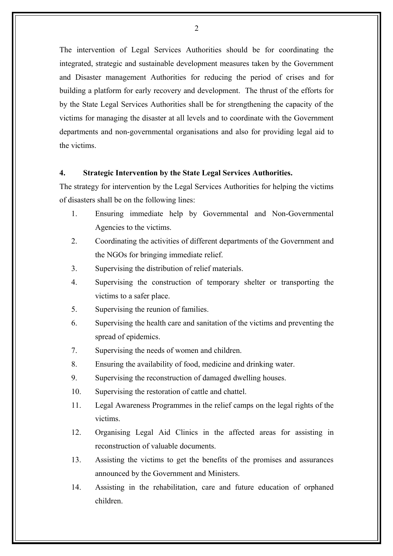The intervention of Legal Services Authorities should be for coordinating the integrated, strategic and sustainable development measures taken by the Government and Disaster management Authorities for reducing the period of crises and for building a platform for early recovery and development. The thrust of the efforts for by the State Legal Services Authorities shall be for strengthening the capacity of the victims for managing the disaster at all levels and to coordinate with the Government departments and non-governmental organisations and also for providing legal aid to the victims.

### **4. Strategic Intervention by the State Legal Services Authorities.**

The strategy for intervention by the Legal Services Authorities for helping the victims of disasters shall be on the following lines:

- 1. Ensuring immediate help by Governmental and Non-Governmental Agencies to the victims.
- 2. Coordinating the activities of different departments of the Government and the NGOs for bringing immediate relief.
- 3. Supervising the distribution of relief materials.
- 4. Supervising the construction of temporary shelter or transporting the victims to a safer place.
- 5. Supervising the reunion of families.
- 6. Supervising the health care and sanitation of the victims and preventing the spread of epidemics.
- 7. Supervising the needs of women and children.
- 8. Ensuring the availability of food, medicine and drinking water.
- 9. Supervising the reconstruction of damaged dwelling houses.
- 10. Supervising the restoration of cattle and chattel.
- 11. Legal Awareness Programmes in the relief camps on the legal rights of the victims.
- 12. Organising Legal Aid Clinics in the affected areas for assisting in reconstruction of valuable documents.
- 13. Assisting the victims to get the benefits of the promises and assurances announced by the Government and Ministers.
- 14. Assisting in the rehabilitation, care and future education of orphaned children.

 $\mathcal{L}$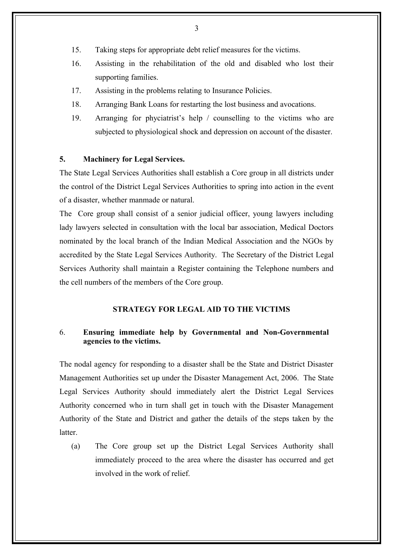- 15. Taking steps for appropriate debt relief measures for the victims.
- 16. Assisting in the rehabilitation of the old and disabled who lost their supporting families.
- 17. Assisting in the problems relating to Insurance Policies.
- 18. Arranging Bank Loans for restarting the lost business and avocations.
- 19. Arranging for phyciatrist's help / counselling to the victims who are subjected to physiological shock and depression on account of the disaster.

#### **5. Machinery for Legal Services.**

The State Legal Services Authorities shall establish a Core group in all districts under the control of the District Legal Services Authorities to spring into action in the event of a disaster, whether manmade or natural.

The Core group shall consist of a senior judicial officer, young lawyers including lady lawyers selected in consultation with the local bar association, Medical Doctors nominated by the local branch of the Indian Medical Association and the NGOs by accredited by the State Legal Services Authority. The Secretary of the District Legal Services Authority shall maintain a Register containing the Telephone numbers and the cell numbers of the members of the Core group.

### **STRATEGY FOR LEGAL AID TO THE VICTIMS**

# 6. **Ensuring immediate help by Governmental and Non-Governmental agencies to the victims.**

The nodal agency for responding to a disaster shall be the State and District Disaster Management Authorities set up under the Disaster Management Act, 2006. The State Legal Services Authority should immediately alert the District Legal Services Authority concerned who in turn shall get in touch with the Disaster Management Authority of the State and District and gather the details of the steps taken by the **latter** 

(a) The Core group set up the District Legal Services Authority shall immediately proceed to the area where the disaster has occurred and get involved in the work of relief.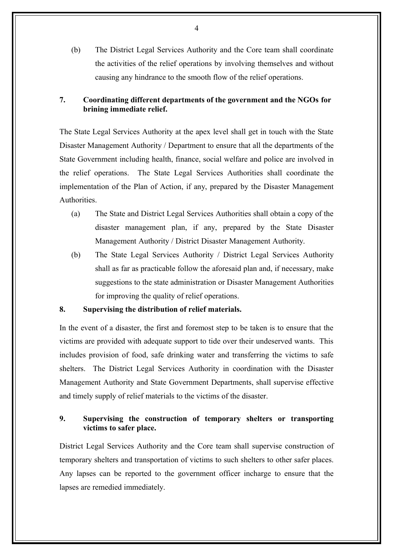(b) The District Legal Services Authority and the Core team shall coordinate the activities of the relief operations by involving themselves and without causing any hindrance to the smooth flow of the relief operations.

# **7. Coordinating different departments of the government and the NGOs for brining immediate relief.**

The State Legal Services Authority at the apex level shall get in touch with the State Disaster Management Authority / Department to ensure that all the departments of the State Government including health, finance, social welfare and police are involved in the relief operations. The State Legal Services Authorities shall coordinate the implementation of the Plan of Action, if any, prepared by the Disaster Management **Authorities** 

- (a) The State and District Legal Services Authorities shall obtain a copy of the disaster management plan, if any, prepared by the State Disaster Management Authority / District Disaster Management Authority.
- (b) The State Legal Services Authority / District Legal Services Authority shall as far as practicable follow the aforesaid plan and, if necessary, make suggestions to the state administration or Disaster Management Authorities for improving the quality of relief operations.

### **8. Supervising the distribution of relief materials.**

In the event of a disaster, the first and foremost step to be taken is to ensure that the victims are provided with adequate support to tide over their undeserved wants. This includes provision of food, safe drinking water and transferring the victims to safe shelters. The District Legal Services Authority in coordination with the Disaster Management Authority and State Government Departments, shall supervise effective and timely supply of relief materials to the victims of the disaster.

# **9. Supervising the construction of temporary shelters or transporting victims to safer place.**

District Legal Services Authority and the Core team shall supervise construction of temporary shelters and transportation of victims to such shelters to other safer places. Any lapses can be reported to the government officer incharge to ensure that the lapses are remedied immediately.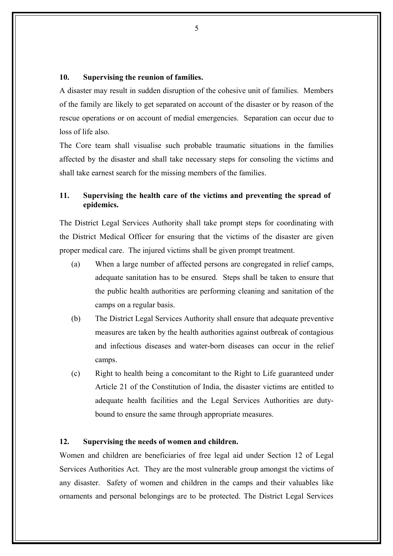#### **10. Supervising the reunion of families.**

A disaster may result in sudden disruption of the cohesive unit of families. Members of the family are likely to get separated on account of the disaster or by reason of the rescue operations or on account of medial emergencies. Separation can occur due to loss of life also.

The Core team shall visualise such probable traumatic situations in the families affected by the disaster and shall take necessary steps for consoling the victims and shall take earnest search for the missing members of the families.

## **11. Supervising the health care of the victims and preventing the spread of epidemics.**

The District Legal Services Authority shall take prompt steps for coordinating with the District Medical Officer for ensuring that the victims of the disaster are given proper medical care. The injured victims shall be given prompt treatment.

- (a) When a large number of affected persons are congregated in relief camps, adequate sanitation has to be ensured. Steps shall be taken to ensure that the public health authorities are performing cleaning and sanitation of the camps on a regular basis.
- (b) The District Legal Services Authority shall ensure that adequate preventive measures are taken by the health authorities against outbreak of contagious and infectious diseases and water-born diseases can occur in the relief camps.
- (c) Right to health being a concomitant to the Right to Life guaranteed under Article 21 of the Constitution of India, the disaster victims are entitled to adequate health facilities and the Legal Services Authorities are dutybound to ensure the same through appropriate measures.

#### **12. Supervising the needs of women and children.**

Women and children are beneficiaries of free legal aid under Section 12 of Legal Services Authorities Act. They are the most vulnerable group amongst the victims of any disaster. Safety of women and children in the camps and their valuables like ornaments and personal belongings are to be protected. The District Legal Services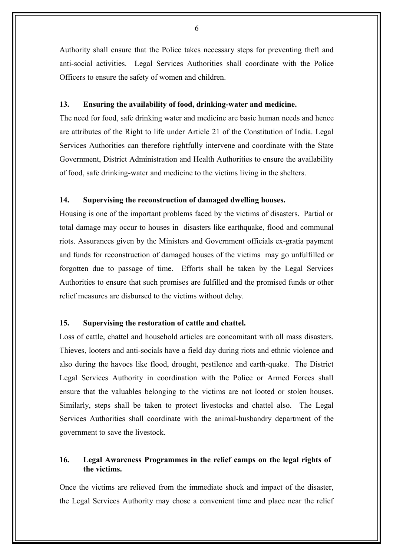Authority shall ensure that the Police takes necessary steps for preventing theft and anti-social activities. Legal Services Authorities shall coordinate with the Police Officers to ensure the safety of women and children.

#### **13. Ensuring the availability of food, drinking-water and medicine.**

The need for food, safe drinking water and medicine are basic human needs and hence are attributes of the Right to life under Article 21 of the Constitution of India. Legal Services Authorities can therefore rightfully intervene and coordinate with the State Government, District Administration and Health Authorities to ensure the availability of food, safe drinking-water and medicine to the victims living in the shelters.

# **14. Supervising the reconstruction of damaged dwelling houses.**

Housing is one of the important problems faced by the victims of disasters. Partial or total damage may occur to houses in disasters like earthquake, flood and communal riots. Assurances given by the Ministers and Government officials ex-gratia payment and funds for reconstruction of damaged houses of the victims may go unfulfilled or forgotten due to passage of time. Efforts shall be taken by the Legal Services Authorities to ensure that such promises are fulfilled and the promised funds or other relief measures are disbursed to the victims without delay.

# **15. Supervising the restoration of cattle and chattel.**

Loss of cattle, chattel and household articles are concomitant with all mass disasters. Thieves, looters and anti-socials have a field day during riots and ethnic violence and also during the havocs like flood, drought, pestilence and earth-quake. The District Legal Services Authority in coordination with the Police or Armed Forces shall ensure that the valuables belonging to the victims are not looted or stolen houses. Similarly, steps shall be taken to protect livestocks and chattel also. The Legal Services Authorities shall coordinate with the animal-husbandry department of the government to save the livestock.

# **16. Legal Awareness Programmes in the relief camps on the legal rights of the victims.**

Once the victims are relieved from the immediate shock and impact of the disaster, the Legal Services Authority may chose a convenient time and place near the relief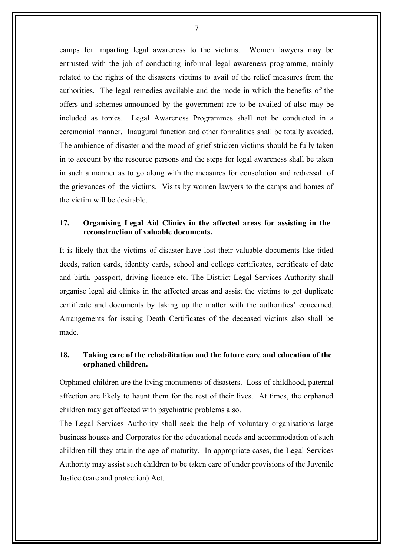camps for imparting legal awareness to the victims. Women lawyers may be entrusted with the job of conducting informal legal awareness programme, mainly related to the rights of the disasters victims to avail of the relief measures from the authorities. The legal remedies available and the mode in which the benefits of the offers and schemes announced by the government are to be availed of also may be included as topics. Legal Awareness Programmes shall not be conducted in a ceremonial manner. Inaugural function and other formalities shall be totally avoided. The ambience of disaster and the mood of grief stricken victims should be fully taken in to account by the resource persons and the steps for legal awareness shall be taken in such a manner as to go along with the measures for consolation and redressal of the grievances of the victims. Visits by women lawyers to the camps and homes of the victim will be desirable.

# **17. Organising Legal Aid Clinics in the affected areas for assisting in the reconstruction of valuable documents.**

It is likely that the victims of disaster have lost their valuable documents like titled deeds, ration cards, identity cards, school and college certificates, certificate of date and birth, passport, driving licence etc. The District Legal Services Authority shall organise legal aid clinics in the affected areas and assist the victims to get duplicate certificate and documents by taking up the matter with the authorities' concerned. Arrangements for issuing Death Certificates of the deceased victims also shall be made.

# **18. Taking care of the rehabilitation and the future care and education of the orphaned children.**

Orphaned children are the living monuments of disasters. Loss of childhood, paternal affection are likely to haunt them for the rest of their lives. At times, the orphaned children may get affected with psychiatric problems also.

The Legal Services Authority shall seek the help of voluntary organisations large business houses and Corporates for the educational needs and accommodation of such children till they attain the age of maturity. In appropriate cases, the Legal Services Authority may assist such children to be taken care of under provisions of the Juvenile Justice (care and protection) Act.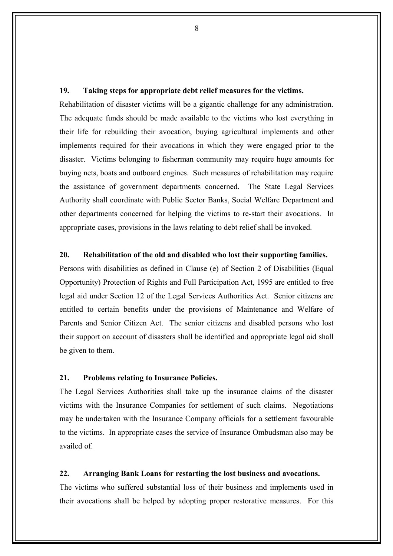#### **19. Taking steps for appropriate debt relief measures for the victims.**

Rehabilitation of disaster victims will be a gigantic challenge for any administration. The adequate funds should be made available to the victims who lost everything in their life for rebuilding their avocation, buying agricultural implements and other implements required for their avocations in which they were engaged prior to the disaster. Victims belonging to fisherman community may require huge amounts for buying nets, boats and outboard engines. Such measures of rehabilitation may require the assistance of government departments concerned. The State Legal Services Authority shall coordinate with Public Sector Banks, Social Welfare Department and other departments concerned for helping the victims to re-start their avocations. In appropriate cases, provisions in the laws relating to debt relief shall be invoked.

#### **20. Rehabilitation of the old and disabled who lost their supporting families.**

Persons with disabilities as defined in Clause (e) of Section 2 of Disabilities (Equal Opportunity) Protection of Rights and Full Participation Act, 1995 are entitled to free legal aid under Section 12 of the Legal Services Authorities Act. Senior citizens are entitled to certain benefits under the provisions of Maintenance and Welfare of Parents and Senior Citizen Act. The senior citizens and disabled persons who lost their support on account of disasters shall be identified and appropriate legal aid shall be given to them.

### **21. Problems relating to Insurance Policies.**

The Legal Services Authorities shall take up the insurance claims of the disaster victims with the Insurance Companies for settlement of such claims. Negotiations may be undertaken with the Insurance Company officials for a settlement favourable to the victims. In appropriate cases the service of Insurance Ombudsman also may be availed of.

### **22. Arranging Bank Loans for restarting the lost business and avocations.**

The victims who suffered substantial loss of their business and implements used in their avocations shall be helped by adopting proper restorative measures. For this